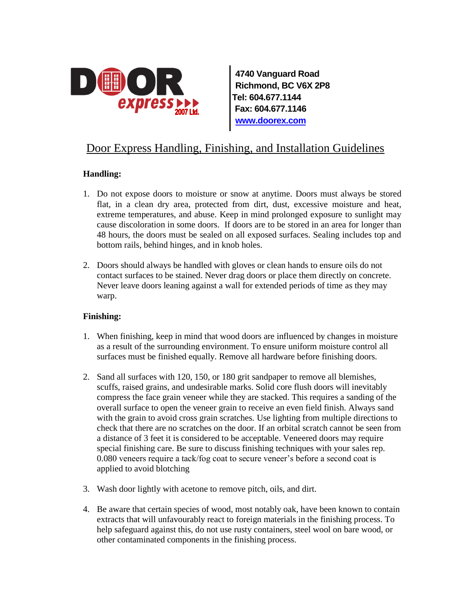

**4740 Vanguard Road Richmond, BC V6X 2P8 Tel: 604.677.1144 Fax: 604.677.1146 [www.doorex.com](http://www.doorex.com/)**

# Door Express Handling, Finishing, and Installation Guidelines

### **Handling:**

- 1. Do not expose doors to moisture or snow at anytime. Doors must always be stored flat, in a clean dry area, protected from dirt, dust, excessive moisture and heat, extreme temperatures, and abuse. Keep in mind prolonged exposure to sunlight may cause discoloration in some doors. If doors are to be stored in an area for longer than 48 hours, the doors must be sealed on all exposed surfaces. Sealing includes top and bottom rails, behind hinges, and in knob holes.
- 2. Doors should always be handled with gloves or clean hands to ensure oils do not contact surfaces to be stained. Never drag doors or place them directly on concrete. Never leave doors leaning against a wall for extended periods of time as they may warp.

### **Finishing:**

- 1. When finishing, keep in mind that wood doors are influenced by changes in moisture as a result of the surrounding environment. To ensure uniform moisture control all surfaces must be finished equally. Remove all hardware before finishing doors.
- 2. Sand all surfaces with 120, 150, or 180 grit sandpaper to remove all blemishes, scuffs, raised grains, and undesirable marks. Solid core flush doors will inevitably compress the face grain veneer while they are stacked. This requires a sanding of the overall surface to open the veneer grain to receive an even field finish. Always sand with the grain to avoid cross grain scratches. Use lighting from multiple directions to check that there are no scratches on the door. If an orbital scratch cannot be seen from a distance of 3 feet it is considered to be acceptable. Veneered doors may require special finishing care. Be sure to discuss finishing techniques with your sales rep. 0.080 veneers require a tack/fog coat to secure veneer's before a second coat is applied to avoid blotching
- 3. Wash door lightly with acetone to remove pitch, oils, and dirt.
- 4. Be aware that certain species of wood, most notably oak, have been known to contain extracts that will unfavourably react to foreign materials in the finishing process. To help safeguard against this, do not use rusty containers, steel wool on bare wood, or other contaminated components in the finishing process.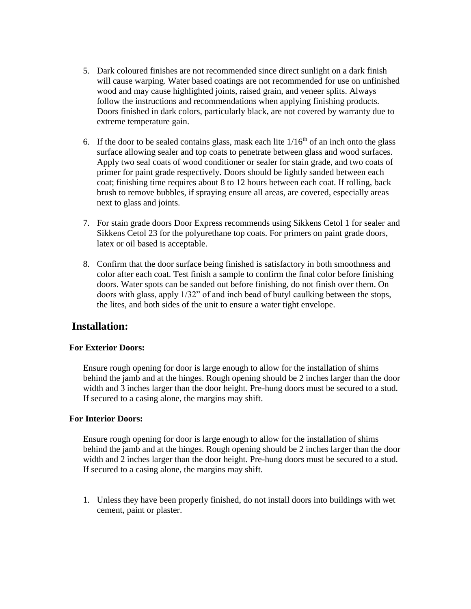- 5. Dark coloured finishes are not recommended since direct sunlight on a dark finish will cause warping. Water based coatings are not recommended for use on unfinished wood and may cause highlighted joints, raised grain, and veneer splits. Always follow the instructions and recommendations when applying finishing products. Doors finished in dark colors, particularly black, are not covered by warranty due to extreme temperature gain.
- 6. If the door to be sealed contains glass, mask each lite  $1/16<sup>th</sup>$  of an inch onto the glass surface allowing sealer and top coats to penetrate between glass and wood surfaces. Apply two seal coats of wood conditioner or sealer for stain grade, and two coats of primer for paint grade respectively. Doors should be lightly sanded between each coat; finishing time requires about 8 to 12 hours between each coat. If rolling, back brush to remove bubbles, if spraying ensure all areas, are covered, especially areas next to glass and joints.
- 7. For stain grade doors Door Express recommends using Sikkens Cetol 1 for sealer and Sikkens Cetol 23 for the polyurethane top coats. For primers on paint grade doors, latex or oil based is acceptable.
- 8. Confirm that the door surface being finished is satisfactory in both smoothness and color after each coat. Test finish a sample to confirm the final color before finishing doors. Water spots can be sanded out before finishing, do not finish over them. On doors with glass, apply 1/32" of and inch bead of butyl caulking between the stops, the lites, and both sides of the unit to ensure a water tight envelope.

## **Installation:**

### **For Exterior Doors:**

Ensure rough opening for door is large enough to allow for the installation of shims behind the jamb and at the hinges. Rough opening should be 2 inches larger than the door width and 3 inches larger than the door height. Pre-hung doors must be secured to a stud. If secured to a casing alone, the margins may shift.

### **For Interior Doors:**

Ensure rough opening for door is large enough to allow for the installation of shims behind the jamb and at the hinges. Rough opening should be 2 inches larger than the door width and 2 inches larger than the door height. Pre-hung doors must be secured to a stud. If secured to a casing alone, the margins may shift.

1. Unless they have been properly finished, do not install doors into buildings with wet cement, paint or plaster.